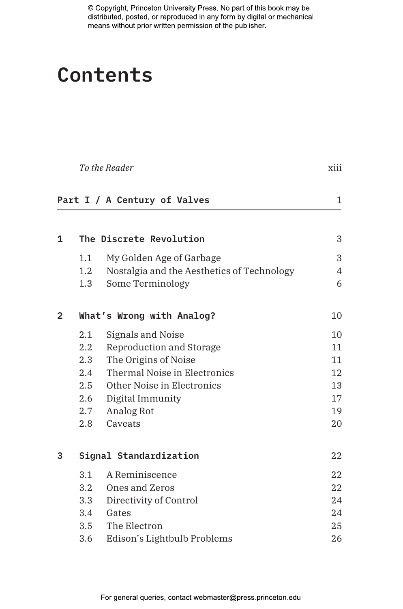# **Contents**

|                |     | To the Reader                              | xiii            |
|----------------|-----|--------------------------------------------|-----------------|
|                |     | Part I / A Century of Valves               | $\mathbf{1}$    |
|                |     |                                            |                 |
| 1              |     | The Discrete Revolution                    | 3               |
|                | 1.1 | My Golden Age of Garbage                   | 3               |
|                | 1.2 | Nostalgia and the Aesthetics of Technology | $\overline{4}$  |
|                | 1.3 | Some Terminology                           | 6               |
| $\overline{2}$ |     | What's Wrong with Analog?                  | 10              |
|                | 2.1 | Signals and Noise                          | 10 <sup>1</sup> |
|                | 2.2 | Reproduction and Storage                   | 11              |
|                | 2.3 | The Origins of Noise                       | 11              |
|                | 2.4 | Thermal Noise in Electronics               | 12              |
|                | 2.5 | Other Noise in Electronics                 | 13              |
|                | 2.6 | Digital Immunity                           | 17              |
|                | 2.7 | Analog Rot                                 | 19              |
|                | 2.8 | Caveats                                    | 20              |
| 3              |     | Signal Standardization                     | 22              |
|                | 3.1 | A Reminiscence                             | 22              |
|                | 3.2 | Ones and Zeros                             | 22              |
|                | 3.3 | Directivity of Control                     | 24              |
|                | 3.4 | Gates                                      | 24              |
|                | 3.5 | The Electron                               | 25              |
|                | 3.6 | Edison's Lightbulb Problems                | 26              |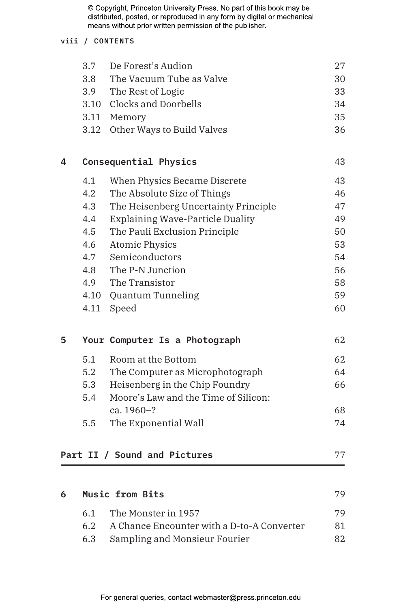## **viii / CONTENTS**

|   | 3.7  | De Forest's Audion                      | 27 |
|---|------|-----------------------------------------|----|
|   | 3.8  | The Vacuum Tube as Valve                | 30 |
|   | 3.9  | The Rest of Logic                       | 33 |
|   |      | 3.10 Clocks and Doorbells               | 34 |
|   | 3.11 | Memory                                  | 35 |
|   | 3.12 | Other Ways to Build Valves              | 36 |
| 4 |      | Consequential Physics                   | 43 |
|   | 4.1  | When Physics Became Discrete            | 43 |
|   | 4.2  | The Absolute Size of Things             | 46 |
|   | 4.3  | The Heisenberg Uncertainty Principle    | 47 |
|   | 4.4  | <b>Explaining Wave-Particle Duality</b> | 49 |
|   | 4.5  | The Pauli Exclusion Principle           | 50 |
|   | 4.6  | <b>Atomic Physics</b>                   | 53 |
|   | 4.7  | Semiconductors                          | 54 |
|   | 4.8  | The P-N Junction                        | 56 |
|   | 4.9  | The Transistor                          | 58 |
|   | 4.10 | Quantum Tunneling                       | 59 |
|   | 4.11 | Speed                                   | 60 |
| 5 |      | Your Computer Is a Photograph           | 62 |
|   | 5.1  | Room at the Bottom                      | 62 |
|   | 5.2  | The Computer as Microphotograph         | 64 |
|   | 5.3  | Heisenberg in the Chip Foundry          | 66 |
|   | 5.4  | Moore's Law and the Time of Silicon:    |    |
|   |      | ca. 1960-?                              | 68 |
|   | 5.5  | The Exponential Wall                    | 74 |
|   |      | Part II / Sound and Pictures            | 77 |

| 6 |     | <b>Music from Bits</b>                     | 79. |
|---|-----|--------------------------------------------|-----|
|   |     | 6.1 The Monster in 1957                    | 70. |
|   | 62  | A Chance Encounter with a D-to-A Converter | 81. |
|   | 6.3 | Sampling and Monsieur Fourier              | 82. |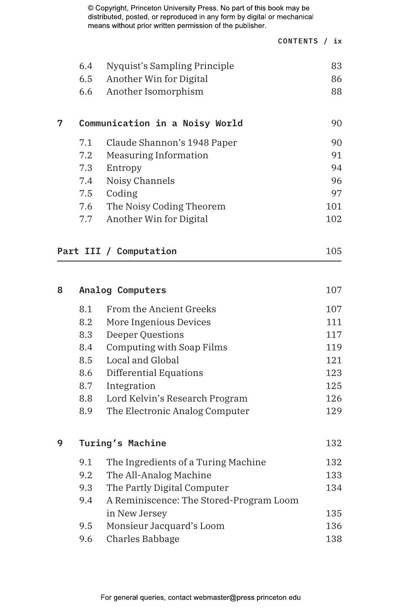## **CONTENTS / ix**

|     | Part III / Computation         | 105 |
|-----|--------------------------------|-----|
| 7.7 | Another Win for Digital        | 102 |
| 7.6 | The Noisy Coding Theorem       | 101 |
| 7.5 | Coding                         | 97  |
| 7.4 | Noisy Channels                 | 96  |
| 7.3 | Entropy                        | 94  |
| 7.2 | <b>Measuring Information</b>   | 91  |
| 7.1 | Claude Shannon's 1948 Paper    | 90  |
| 7   | Communication in a Noisy World | 90  |
| 6.6 | Another Isomorphism            | 88  |
| 6.5 | Another Win for Digital        | 86  |
| 6.4 | Nyquist's Sampling Principle   | 83  |
|     |                                |     |

| 8 |     | <b>Analog Computers</b>                 | 107 |
|---|-----|-----------------------------------------|-----|
|   | 8.1 | From the Ancient Greeks                 | 107 |
|   | 8.2 | More Ingenious Devices                  | 111 |
|   | 8.3 | Deeper Questions                        | 117 |
|   | 8.4 | Computing with Soap Films               | 119 |
|   | 8.5 | Local and Global                        | 121 |
|   | 8.6 | Differential Equations                  | 123 |
|   | 8.7 | Integration                             | 125 |
|   | 8.8 | Lord Kelvin's Research Program          | 126 |
|   | 8.9 | The Electronic Analog Computer          | 129 |
| 9 |     | Turing's Machine                        | 132 |
|   | 9.1 | The Ingredients of a Turing Machine     | 132 |
|   | 9.2 | The All-Analog Machine                  | 133 |
|   | 9.3 | The Partly Digital Computer             | 134 |
|   | 9.4 | A Reminiscence: The Stored-Program Loom |     |
|   |     | in New Jersey                           | 135 |
|   | 9.5 | Monsieur Jacquard's Loom                | 136 |
|   | 9.6 | Charles Babbage                         | 138 |
|   |     |                                         |     |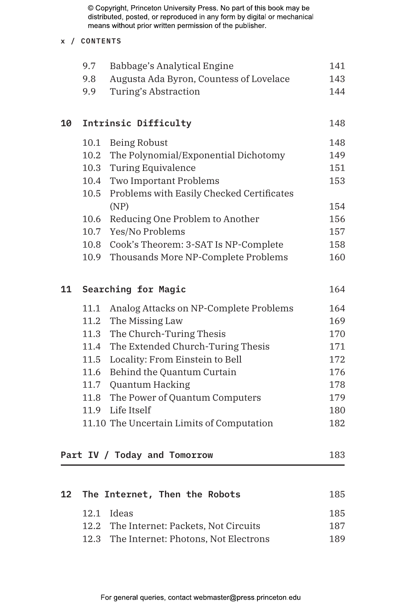## **x / CONTENTS**

|    | 9.7  | Babbage's Analytical Engine               | 141 |
|----|------|-------------------------------------------|-----|
|    | 9.8  | Augusta Ada Byron, Countess of Lovelace   | 143 |
|    | 9.9  | Turing's Abstraction                      | 144 |
| 10 |      | Intrinsic Difficulty                      | 148 |
|    | 10.1 | Being Robust                              | 148 |
|    | 10.2 | The Polynomial/Exponential Dichotomy      | 149 |
|    | 10.3 | <b>Turing Equivalence</b>                 | 151 |
|    | 10.4 | Two Important Problems                    | 153 |
|    | 10.5 | Problems with Easily Checked Certificates |     |
|    |      | (NP)                                      | 154 |
|    | 10.6 | Reducing One Problem to Another           | 156 |
|    |      | 10.7 Yes/No Problems                      | 157 |
|    |      | 10.8 Cook's Theorem: 3-SAT Is NP-Complete | 158 |
|    |      | 10.9 Thousands More NP-Complete Problems  | 160 |
| 11 |      | Searching for Magic                       | 164 |
|    | 11.1 | Analog Attacks on NP-Complete Problems    | 164 |
|    | 11.2 | The Missing Law                           | 169 |
|    | 11.3 | The Church-Turing Thesis                  | 170 |
|    | 11.4 | The Extended Church-Turing Thesis         | 171 |
|    | 11.5 | Locality: From Einstein to Bell           | 172 |
|    |      | 11.6 Behind the Quantum Curtain           | 176 |
|    |      | 11.7 Quantum Hacking                      | 178 |
|    | 11.8 | The Power of Quantum Computers            | 179 |
|    |      | 11.9 Life Itself                          | 180 |
|    |      | 11.10 The Uncertain Limits of Computation | 182 |
|    |      | Part IV / Today and Tomorrow              | 183 |
|    |      |                                           |     |
| 12 |      | The Internet, Then the Robots             | 185 |
|    | 12.1 | Ideas                                     | 185 |
|    | 12.2 | The Internet: Packets, Not Circuits       | 187 |

12.3 The Internet: Photons, Not Electrons 189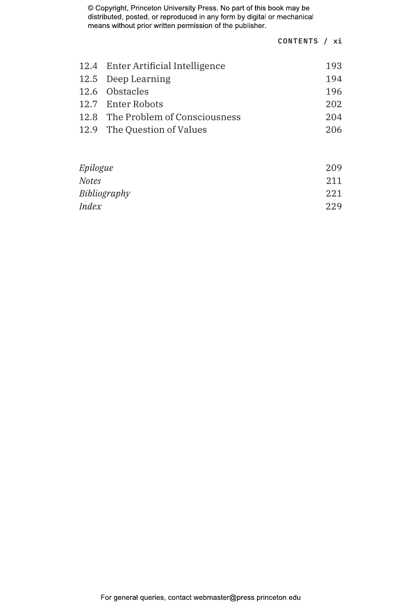## **CONTENTS / xi**

| 12.4 Enter Artificial Intelligence | 193 |
|------------------------------------|-----|
| 12.5 Deep Learning                 | 194 |
| 12.6 Obstacles                     | 196 |
| 12.7 Enter Robots                  | 202 |
| 12.8 The Problem of Consciousness  | 204 |
| 12.9 The Question of Values        | 206 |
|                                    |     |

| Epilogue     | 209 |
|--------------|-----|
| <i>Notes</i> | 211 |
| Bibliography | 221 |
| <i>Index</i> | 229 |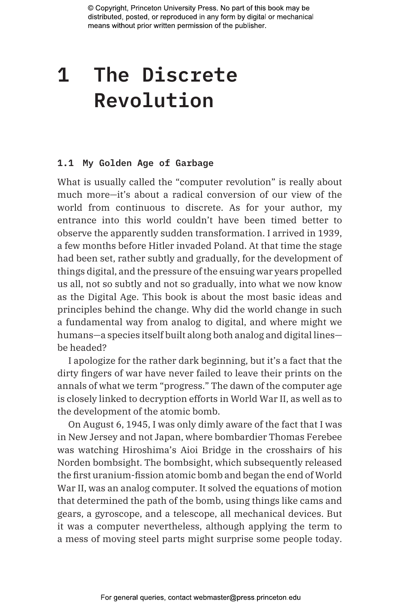# **1 The Discrete Revolution**

## **1.1 My Golden Age of Garbage**

What is usually called the "computer revolution" is really about much more—it's about a radical conversion of our view of the world from continuous to discrete. As for your author, my entrance into this world couldn't have been timed better to observe the apparently sudden transformation. I arrived in 1939, a few months before Hitler invaded Poland. At that time the stage had been set, rather subtly and gradually, for the development of things digital, and the pressure of the ensuing war years propelled us all, not so subtly and not so gradually, into what we now know as the Digital Age. This book is about the most basic ideas and principles behind the change. Why did the world change in such a fundamental way from analog to digital, and where might we humans—a species itself built along both analog and digital lines be headed?

I apologize for the rather dark beginning, but it's a fact that the dirty fingers of war have never failed to leave their prints on the annals of what we term "progress." The dawn of the computer age is closely linked to decryption efforts in World War II, as well as to the development of the atomic bomb.

On August 6, 1945, I was only dimly aware of the fact that I was in New Jersey and not Japan, where bombardier Thomas Ferebee was watching Hiroshima's Aioi Bridge in the crosshairs of his Norden bombsight. The bombsight, which subsequently released the first uranium-fission atomic bomb and began the end of World War II, was an analog computer. It solved the equations of motion that determined the path of the bomb, using things like cams and gears, a gyroscope, and a telescope, all mechanical devices. But it was a computer nevertheless, although applying the term to a mess of moving steel parts might surprise some people today.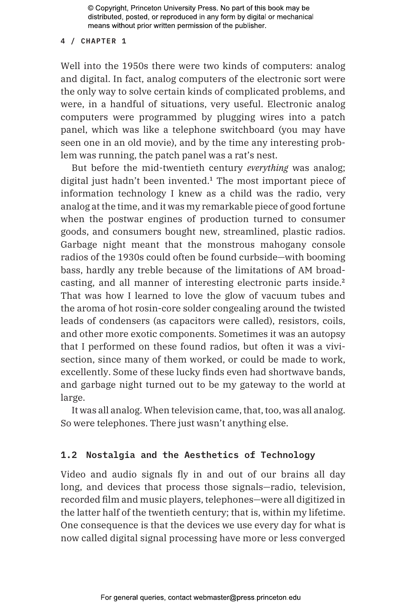#### **4 / CHAPTER 1**

Well into the 1950s there were two kinds of computers: analog and digital. In fact, analog computers of the electronic sort were the only way to solve certain kinds of complicated problems, and were, in a handful of situations, very useful. Electronic analog computers were programmed by plugging wires into a patch panel, which was like a telephone switchboard (you may have seen one in an old movie), and by the time any interesting problem was running, the patch panel was a rat's nest.

But before the mid-twentieth century *everything* was analog; digital just hadn't been invented. $1$  The most important piece of information technology I knew as a child was the radio, very analog at the time, and it was my remarkable piece of good fortune when the postwar engines of production turned to consumer goods, and consumers bought new, streamlined, plastic radios. Garbage night meant that the monstrous mahogany console radios of the 1930s could often be found curbside—with booming bass, hardly any treble because of the limitations of AM broadcasting, and all manner of interesting electronic parts inside.<sup>2</sup> That was how I learned to love the glow of vacuum tubes and the aroma of hot rosin-core solder congealing around the twisted leads of condensers (as capacitors were called), resistors, coils, and other more exotic components. Sometimes it was an autopsy that I performed on these found radios, but often it was a vivisection, since many of them worked, or could be made to work, excellently. Some of these lucky finds even had shortwave bands, and garbage night turned out to be my gateway to the world at large.

It was all analog. When television came, that, too, was all analog. So were telephones. There just wasn't anything else.

## **1.2 Nostalgia and the Aesthetics of Technology**

Video and audio signals fly in and out of our brains all day long, and devices that process those signals—radio, television, recorded film and music players, telephones—were all digitized in the latter half of the twentieth century; that is, within my lifetime. One consequence is that the devices we use every day for what is now called digital signal processing have more or less converged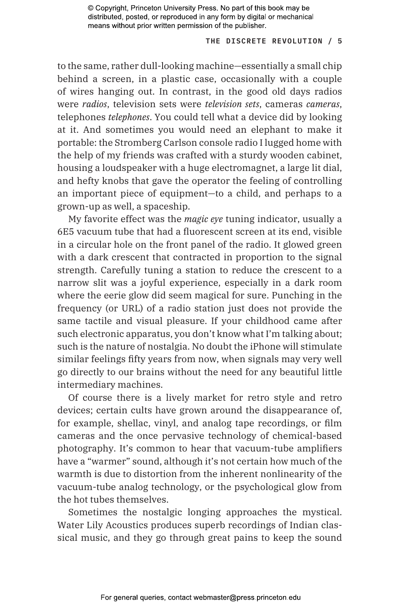#### **THE DISCRETE REVOLUTION / 5**

to the same, rather dull-looking machine—essentially a small chip behind a screen, in a plastic case, occasionally with a couple of wires hanging out. In contrast, in the good old days radios were *radios*, television sets were *television sets*, cameras *cameras*, telephones *telephones*. You could tell what a device did by looking at it. And sometimes you would need an elephant to make it portable: the Stromberg Carlson console radio I lugged home with the help of my friends was crafted with a sturdy wooden cabinet, housing a loudspeaker with a huge electromagnet, a large lit dial, and hefty knobs that gave the operator the feeling of controlling an important piece of equipment—to a child, and perhaps to a grown-up as well, a spaceship.

My favorite effect was the *magic eye* tuning indicator, usually a 6E5 vacuum tube that had a fluorescent screen at its end, visible in a circular hole on the front panel of the radio. It glowed green with a dark crescent that contracted in proportion to the signal strength. Carefully tuning a station to reduce the crescent to a narrow slit was a joyful experience, especially in a dark room where the eerie glow did seem magical for sure. Punching in the frequency (or URL) of a radio station just does not provide the same tactile and visual pleasure. If your childhood came after such electronic apparatus, you don't know what I'm talking about; such is the nature of nostalgia. No doubt the iPhone will stimulate similar feelings fifty years from now, when signals may very well go directly to our brains without the need for any beautiful little intermediary machines.

Of course there is a lively market for retro style and retro devices; certain cults have grown around the disappearance of, for example, shellac, vinyl, and analog tape recordings, or film cameras and the once pervasive technology of chemical-based photography. It's common to hear that vacuum-tube amplifiers have a "warmer" sound, although it's not certain how much of the warmth is due to distortion from the inherent nonlinearity of the vacuum-tube analog technology, or the psychological glow from the hot tubes themselves.

Sometimes the nostalgic longing approaches the mystical. Water Lily Acoustics produces superb recordings of Indian classical music, and they go through great pains to keep the sound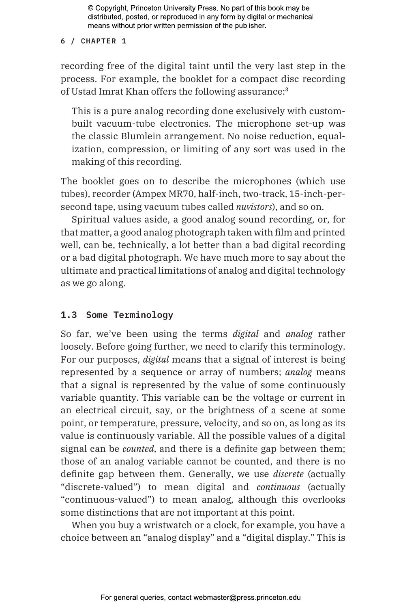#### **6 / CHAPTER 1**

recording free of the digital taint until the very last step in the process. For example, the booklet for a compact disc recording of Ustad Imrat Khan offers the following assurance:<sup>3</sup>

This is a pure analog recording done exclusively with custombuilt vacuum-tube electronics. The microphone set-up was the classic Blumlein arrangement. No noise reduction, equalization, compression, or limiting of any sort was used in the making of this recording.

The booklet goes on to describe the microphones (which use tubes), recorder (Ampex MR70, half-inch, two-track, 15-inch-persecond tape, using vacuum tubes called *nuvistors*), and so on.

Spiritual values aside, a good analog sound recording, or, for that matter, a good analog photograph taken with film and printed well, can be, technically, a lot better than a bad digital recording or a bad digital photograph. We have much more to say about the ultimate and practical limitations of analog and digital technology as we go along.

## **1.3 Some Terminology**

So far, we've been using the terms *digital* and *analog* rather loosely. Before going further, we need to clarify this terminology. For our purposes, *digital* means that a signal of interest is being represented by a sequence or array of numbers; *analog* means that a signal is represented by the value of some continuously variable quantity. This variable can be the voltage or current in an electrical circuit, say, or the brightness of a scene at some point, or temperature, pressure, velocity, and so on, as long as its value is continuously variable. All the possible values of a digital signal can be *counted*, and there is a definite gap between them; those of an analog variable cannot be counted, and there is no definite gap between them. Generally, we use *discrete* (actually "discrete-valued") to mean digital and *continuous* (actually "continuous-valued") to mean analog, although this overlooks some distinctions that are not important at this point.

When you buy a wristwatch or a clock, for example, you have a choice between an "analog display" and a "digital display." This is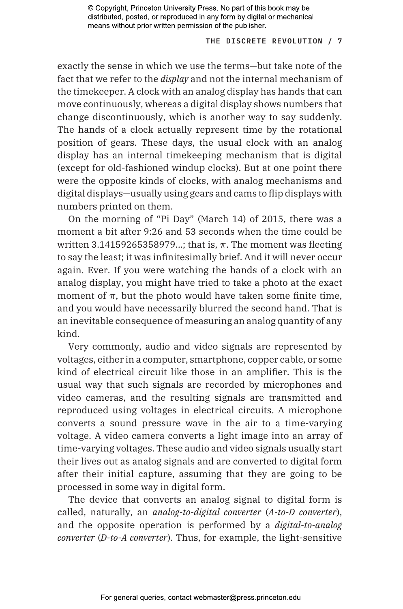#### **THE DISCRETE REVOLUTION / 7**

exactly the sense in which we use the terms—but take note of the fact that we refer to the *display* and not the internal mechanism of the timekeeper. A clock with an analog display has hands that can move continuously, whereas a digital display shows numbers that change discontinuously, which is another way to say suddenly. The hands of a clock actually represent time by the rotational position of gears. These days, the usual clock with an analog display has an internal timekeeping mechanism that is digital (except for old-fashioned windup clocks). But at one point there were the opposite kinds of clocks, with analog mechanisms and digital displays—usually using gears and cams to flip displays with numbers printed on them.

On the morning of "Pi Day" (March 14) of 2015, there was a moment a bit after 9:26 and 53 seconds when the time could be written 3.14159265358979...; that is,  $\pi$ . The moment was fleeting to say the least; it was infinitesimally brief. And it will never occur again. Ever. If you were watching the hands of a clock with an analog display, you might have tried to take a photo at the exact moment of  $\pi$ , but the photo would have taken some finite time, and you would have necessarily blurred the second hand. That is an inevitable consequence of measuring an analog quantity of any kind.

Very commonly, audio and video signals are represented by voltages, either in a computer, smartphone, copper cable, or some kind of electrical circuit like those in an amplifier. This is the usual way that such signals are recorded by microphones and video cameras, and the resulting signals are transmitted and reproduced using voltages in electrical circuits. A microphone converts a sound pressure wave in the air to a time-varying voltage. A video camera converts a light image into an array of time-varying voltages. These audio and video signals usually start their lives out as analog signals and are converted to digital form after their initial capture, assuming that they are going to be processed in some way in digital form.

The device that converts an analog signal to digital form is called, naturally, an *analog-to-digital converter* (*A-to-D converter*), and the opposite operation is performed by a *digital-to-analog converter* (*D-to-A converter*). Thus, for example, the light-sensitive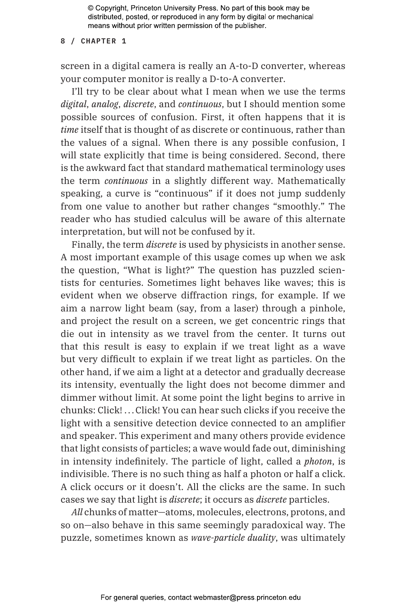#### **8 / CHAPTER 1**

screen in a digital camera is really an A-to-D converter, whereas your computer monitor is really a D-to-A converter.

I'll try to be clear about what I mean when we use the terms *digital*, *analog*, *discrete*, and *continuous*, but I should mention some possible sources of confusion. First, it often happens that it is *time* itself that is thought of as discrete or continuous, rather than the values of a signal. When there is any possible confusion, I will state explicitly that time is being considered. Second, there is the awkward fact that standard mathematical terminology uses the term *continuous* in a slightly different way. Mathematically speaking, a curve is "continuous" if it does not jump suddenly from one value to another but rather changes "smoothly." The reader who has studied calculus will be aware of this alternate interpretation, but will not be confused by it.

Finally, the term *discrete* is used by physicists in another sense. A most important example of this usage comes up when we ask the question, "What is light?" The question has puzzled scientists for centuries. Sometimes light behaves like waves; this is evident when we observe diffraction rings, for example. If we aim a narrow light beam (say, from a laser) through a pinhole, and project the result on a screen, we get concentric rings that die out in intensity as we travel from the center. It turns out that this result is easy to explain if we treat light as a wave but very difficult to explain if we treat light as particles. On the other hand, if we aim a light at a detector and gradually decrease its intensity, eventually the light does not become dimmer and dimmer without limit. At some point the light begins to arrive in chunks: Click! . . . Click! You can hear such clicks if you receive the light with a sensitive detection device connected to an amplifier and speaker. This experiment and many others provide evidence that light consists of particles; a wave would fade out, diminishing in intensity indefinitely. The particle of light, called a *photon*, is indivisible. There is no such thing as half a photon or half a click. A click occurs or it doesn't. All the clicks are the same. In such cases we say that light is *discrete*; it occurs as *discrete* particles.

*All* chunks of matter—atoms, molecules, electrons, protons, and so on—also behave in this same seemingly paradoxical way. The puzzle, sometimes known as *wave-particle duality*, was ultimately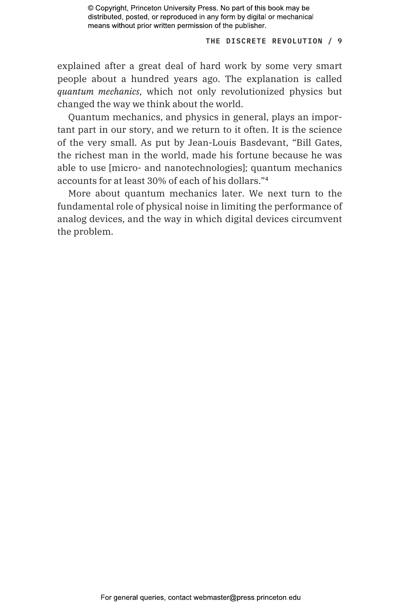## **THE DISCRETE REVOLUTION / 9**

explained after a great deal of hard work by some very smart people about a hundred years ago. The explanation is called *quantum mechanics*, which not only revolutionized physics but changed the way we think about the world.

Quantum mechanics, and physics in general, plays an important part in our story, and we return to it often. It is the science of the very small. As put by Jean-Louis Basdevant, "Bill Gates, the richest man in the world, made his fortune because he was able to use [micro- and nanotechnologies]; quantum mechanics accounts for at least 30% of each of his dollars."<sup>4</sup>

More about quantum mechanics later. We next turn to the fundamental role of physical noise in limiting the performance of analog devices, and the way in which digital devices circumvent the problem.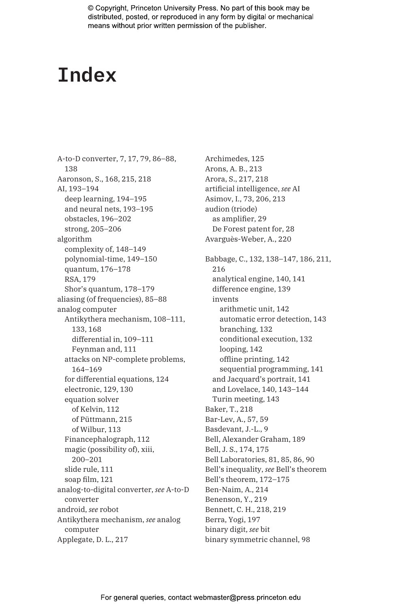## **Index**

A-to-D converter, 7, 17, 79, 86–88, 138 Aaronson, S., 168, 215, 218 AI, 193–194 deep learning, 194–195 and neural nets, 193–195 obstacles, 196–202 strong, 205–206 algorithm complexity of, 148–149 polynomial-time, 149–150 quantum, 176–178 RSA, 179 Shor's quantum, 178–179 aliasing (of frequencies), 85–88 analog computer Antikythera mechanism, 108–111, 133, 168 differential in, 109–111 Feynman and, 111 attacks on NP-complete problems, 164–169 for differential equations, 124 electronic, 129, 130 equation solver of Kelvin, 112 of Püttmann, 215 of Wilbur, 113 Financephalograph, 112 magic (possibility of), xiii, 200–201 slide rule, 111 soap film, 121 analog-to-digital converter, *see* A-to-D converter android, *see* robot Antikythera mechanism, *see* analog computer Applegate, D. L., 217

Archimedes, 125 Arons, A. B., 213 Arora, S., 217, 218 artificial intelligence, *see* AI Asimov, I., 73, 206, 213 audion (triode) as amplifier, 29 De Forest patent for, 28 Avarguès-Weber, A., 220 Babbage, C., 132, 138–147, 186, 211, 216 analytical engine, 140, 141 difference engine, 139 invents arithmetic unit, 142 automatic error detection, 143 branching, 132 conditional execution, 132 looping, 142 offline printing, 142 sequential programming, 141 and Jacquard's portrait, 141 and Lovelace, 140, 143–144 Turin meeting, 143 Baker, T., 218 Bar-Lev, A., 57, 59 Basdevant, J.-L., 9 Bell, Alexander Graham, 189 Bell, J. S., 174, 175 Bell Laboratories, 81, 85, 86, 90 Bell's inequality, *see* Bell's theorem Bell's theorem, 172–175 Ben-Naim, A., 214 Benenson, Y., 219 Bennett, C. H., 218, 219 Berra, Yogi, 197 binary digit, *see* bit binary symmetric channel, 98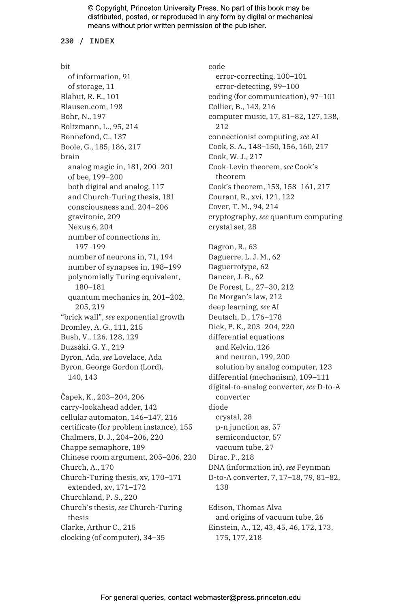#### **230 / INDEX**

#### bit

of information, 91 of storage, 11 Blahut, R. E., 101 Blausen.com, 198 Bohr, N., 197 Boltzmann, L., 95, 214 Bonnefond, C., 137 Boole, G., 185, 186, 217 brain analog magic in, 181, 200–201 of bee, 199–200 both digital and analog, 117 and Church-Turing thesis, 181 consciousness and, 204–206 gravitonic, 209 Nexus 6, 204 number of connections in, 197–199 number of neurons in, 71, 194 number of synapses in, 198–199 polynomially Turing equivalent, 180–181 quantum mechanics in, 201–202, 205, 219 "brick wall", *see* exponential growth Bromley, A. G., 111, 215 Bush, V., 126, 128, 129 Buzsáki, G. Y., 219 Byron, Ada, *see* Lovelace, Ada Byron, George Gordon (Lord), 140, 143 Čapek, K., 203–204, 206 carry-lookahead adder, 142 cellular automaton, 146–147, 216 certificate (for problem instance), 155 Chalmers, D. J., 204–206, 220 Chappe semaphore, 189 Chinese room argument, 205–206, 220 Church, A., 170 Church-Turing thesis, xv, 170–171 extended, xv, 171–172 Churchland, P. S., 220 Church's thesis, *see* Church-Turing thesis Clarke, Arthur C., 215 clocking (of computer), 34–35

code error-correcting, 100–101 error-detecting, 99–100 coding (for communication), 97–101 Collier, B., 143, 216 computer music, 17, 81–82, 127, 138, 212 connectionist computing, *see* AI Cook, S. A., 148–150, 156, 160, 217 Cook, W. J., 217 Cook-Levin theorem, *see* Cook's theorem Cook's theorem, 153, 158–161, 217 Courant, R., xvi, 121, 122 Cover, T. M., 94, 214 cryptography, *see* quantum computing crystal set, 28 Dagron, R., 63 Daguerre, L. J. M., 62 Daguerrotype, 62 Dancer, J. B., 62 De Forest, L., 27–30, 212 De Morgan's law, 212 deep learning, *see* AI Deutsch, D., 176–178 Dick, P. K., 203–204, 220 differential equations and Kelvin, 126 and neuron, 199, 200 solution by analog computer, 123 differential (mechanism), 109–111 digital-to-analog converter, *see* D-to-A converter diode crystal, 28 p-n junction as, 57 semiconductor, 57 vacuum tube, 27 Dirac, P., 218 DNA (information in), *see* Feynman D-to-A converter, 7, 17–18, 79, 81–82, 138 Edison, Thomas Alva and origins of vacuum tube, 26

Einstein, A., 12, 43, 45, 46, 172, 173, 175, 177, 218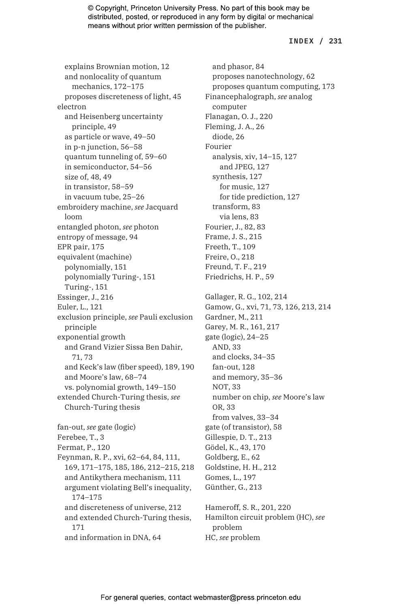#### **INDEX / 231**

explains Brownian motion, 12 and nonlocality of quantum mechanics, 172–175 proposes discreteness of light, 45 electron and Heisenberg uncertainty principle, 49 as particle or wave, 49–50 in p-n junction, 56–58 quantum tunneling of, 59–60 in semiconductor, 54–56 size of, 48, 49 in transistor, 58–59 in vacuum tube, 25–26 embroidery machine, *see* Jacquard loom entangled photon, *see* photon entropy of message, 94 EPR pair, 175 equivalent (machine) polynomially, 151 polynomially Turing-, 151 Turing-, 151 Essinger, J., 216 Euler, L., 121 exclusion principle, *see* Pauli exclusion principle exponential growth and Grand Vizier Sissa Ben Dahir, 71, 73 and Keck's law (fiber speed), 189, 190 and Moore's law, 68–74 vs. polynomial growth, 149–150 extended Church-Turing thesis, *see* Church-Turing thesis fan-out, *see* gate (logic) Ferebee, T., 3 Fermat, P., 120 Feynman, R. P., xvi, 62–64, 84, 111, 169, 171–175, 185, 186, 212–215, 218 and Antikythera mechanism, 111 argument violating Bell's inequality, 174–175 and discreteness of universe, 212 and extended Church-Turing thesis, 171

and information in DNA, 64

and phasor, 84 proposes nanotechnology, 62 proposes quantum computing, 173 Financephalograph, *see* analog computer Flanagan, O. J., 220 Fleming, J. A., 26 diode, 26 Fourier analysis, xiv, 14–15, 127 and JPEG, 127 synthesis, 127 for music, 127 for tide prediction, 127 transform, 83 via lens, 83 Fourier, J., 82, 83 Frame, J. S., 215 Freeth, T., 109 Freire, O., 218 Freund, T. F., 219 Friedrichs, H. P., 59 Gallager, R. G., 102, 214 Gamow, G., xvi, 71, 73, 126, 213, 214 Gardner, M., 211 Garey, M. R., 161, 217 gate (logic), 24–25 AND, 33 and clocks, 34–35 fan-out, 128 and memory, 35–36 NOT, 33 number on chip, *see* Moore's law OR, 33 from valves, 33–34 gate (of transistor), 58 Gillespie, D. T., 213 Gödel, K., 43, 170 Goldberg, E., 62 Goldstine, H. H., 212 Gomes, L., 197 Günther, G., 213 Hameroff, S. R., 201, 220

Hamilton circuit problem (HC), *see* problem HC, *see* problem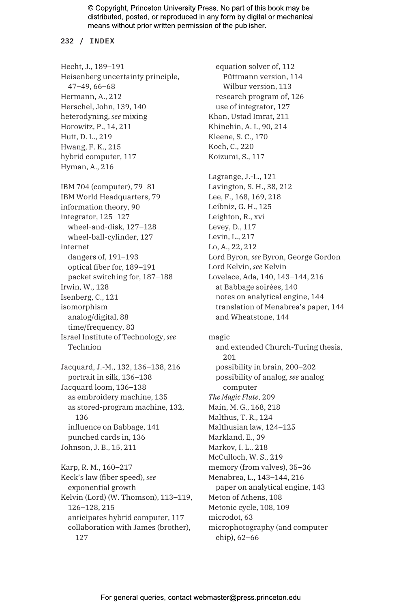#### **232 / INDEX**

Hecht, J., 189–191 Heisenberg uncertainty principle, 47–49, 66–68 Hermann, A., 212 Herschel, John, 139, 140 heterodyning, *see* mixing Horowitz, P., 14, 211 Hutt, D. L., 219 Hwang, F. K., 215 hybrid computer, 117 Hyman, A., 216

IBM 704 (computer), 79–81 IBM World Headquarters, 79 information theory, 90 integrator, 125–127 wheel-and-disk, 127–128 wheel-ball-cylinder, 127 internet dangers of, 191–193 optical fiber for, 189–191 packet switching for, 187–188 Irwin, W., 128 Isenberg, C., 121 isomorphism analog/digital, 88 time/frequency, 83 Israel Institute of Technology, *see* Technion

Jacquard, J.-M., 132, 136–138, 216 portrait in silk, 136–138 Jacquard loom, 136–138 as embroidery machine, 135 as stored-program machine, 132, 136 influence on Babbage, 141 punched cards in, 136 Johnson, J. B., 15, 211

Karp, R. M., 160–217 Keck's law (fiber speed), *see* exponential growth Kelvin (Lord) (W. Thomson), 113–119, 126–128, 215 anticipates hybrid computer, 117 collaboration with James (brother), 127

equation solver of, 112 Püttmann version, 114 Wilbur version, 113 research program of, 126 use of integrator, 127 Khan, Ustad Imrat, 211 Khinchin, A. I., 90, 214 Kleene, S. C., 170 Koch, C., 220 Koizumi, S., 117 Lagrange, J.-L., 121 Lavington, S. H., 38, 212 Lee, F., 168, 169, 218 Leibniz, G. H., 125 Leighton, R., xvi Levey, D., 117 Levin, L., 217 Lo, A., 22, 212 Lord Byron, *see* Byron, George Gordon Lord Kelvin, *see* Kelvin Lovelace, Ada, 140, 143–144, 216 at Babbage soirées, 140 notes on analytical engine, 144 translation of Menabrea's paper, 144 and Wheatstone, 144 magic and extended Church-Turing thesis, 201 possibility in brain, 200–202 possibility of analog, *see* analog computer *The Magic Flute*, 209 Main, M. G., 168, 218 Malthus, T. R., 124 Malthusian law, 124–125 Markland, E., 39 Markov, I. L., 218 McCulloch, W. S., 219 memory (from valves), 35–36 Menabrea, L., 143–144, 216 paper on analytical engine, 143 Meton of Athens, 108

Metonic cycle, 108, 109 microdot, 63 microphotography (and computer chip), 62–66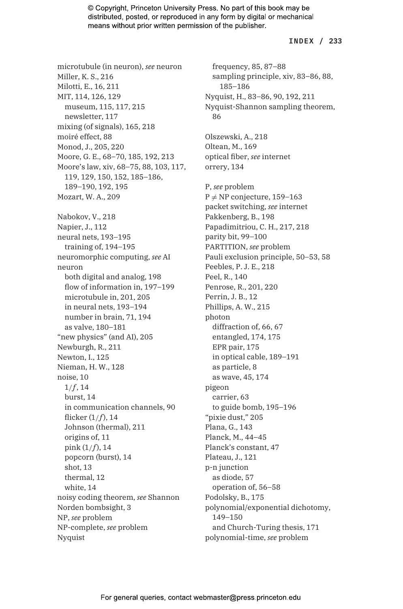#### **INDEX / 233**

microtubule (in neuron), *see* neuron Miller, K. S., 216 Milotti, E., 16, 211 MIT, 114, 126, 129 museum, 115, 117, 215 newsletter, 117 mixing (of signals), 165, 218 moiré effect, 88 Monod, J., 205, 220 Moore, G. E., 68–70, 185, 192, 213 Moore's law, xiv, 68–75, 88, 103, 117, 119, 129, 150, 152, 185–186, 189–190, 192, 195 Mozart, W. A., 209 Nabokov, V., 218 Napier, J., 112 neural nets, 193–195 training of, 194–195 neuromorphic computing, *see* AI neuron both digital and analog, 198 flow of information in, 197–199 microtubule in, 201, 205 in neural nets, 193–194 number in brain, 71, 194 as valve, 180–181 "new physics" (and AI), 205 Newburgh, R., 211 Newton, I., 125 Nieman, H. W., 128 noise, 10  $1/f$ , 14 burst, 14 in communication channels, 90 flicker (1*/ f* ), 14 Johnson (thermal), 211 origins of, 11 pink  $(1/f)$ , 14 popcorn (burst), 14 shot, 13 thermal, 12 white, 14 noisy coding theorem, *see* Shannon Norden bombsight, 3 NP, *see* problem NP-complete, *see* problem Nyquist

frequency, 85, 87–88 sampling principle, xiv, 83–86, 88, 185–186 Nyquist, H., 83–86, 90, 192, 211 Nyquist-Shannon sampling theorem, 86 Olszewski, A., 218 Oltean, M., 169 optical fiber, *see* internet orrery, 134 P, *see* problem  $P \neq NP$  conjecture, 159-163 packet switching, *see* internet Pakkenberg, B., 198 Papadimitriou, C. H., 217, 218 parity bit, 99–100 PARTITION, *see* problem Pauli exclusion principle, 50–53, 58 Peebles, P. J. E., 218 Peel, R., 140 Penrose, R., 201, 220 Perrin, J. B., 12 Phillips, A. W., 215 photon diffraction of, 66, 67 entangled, 174, 175 EPR pair, 175 in optical cable, 189–191 as particle, 8 as wave, 45, 174 pigeon carrier, 63 to guide bomb, 195–196 "pixie dust," 205 Plana, G., 143 Planck, M., 44–45 Planck's constant, 47 Plateau, J., 121 p-n junction as diode, 57 operation of, 56–58 Podolsky, B., 175 polynomial/exponential dichotomy, 149–150 and Church-Turing thesis, 171 polynomial-time, *see* problem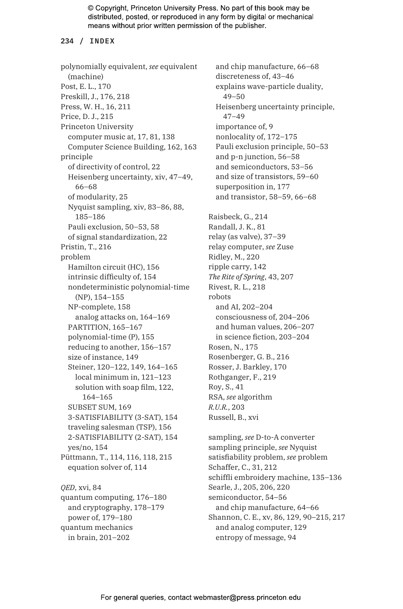#### **234 / INDEX**

polynomially equivalent, *see* equivalent (machine) Post, E. L., 170 Preskill, J., 176, 218 Press, W. H., 16, 211 Price, D. J., 215 Princeton University computer music at, 17, 81, 138 Computer Science Building, 162, 163 principle of directivity of control, 22 Heisenberg uncertainty, xiv, 47–49, 66–68 of modularity, 25 Nyquist sampling, xiv, 83–86, 88, 185–186 Pauli exclusion, 50–53, 58 of signal standardization, 22 Pristin, T., 216 problem Hamilton circuit (HC), 156 intrinsic difficulty of, 154 nondeterministic polynomial-time (NP), 154–155 NP-complete, 158 analog attacks on, 164–169 PARTITION, 165-167 polynomial-time (P), 155 reducing to another, 156–157 size of instance, 149 Steiner, 120–122, 149, 164–165 local minimum in, 121–123 solution with soap film, 122, 164–165 SUBSET SUM, 169 3-SATISFIABILITY (3-SAT), 154 traveling salesman (TSP), 156 2-SATISFIABILITY (2-SAT), 154 yes/no, 154 Püttmann, T., 114, 116, 118, 215 equation solver of, 114 *QED*, xvi, 84 quantum computing, 176–180 and cryptography, 178–179 power of, 179–180 quantum mechanics

in brain, 201–202

and chip manufacture, 66–68 discreteness of, 43–46 explains wave-particle duality, 49–50 Heisenberg uncertainty principle, 47–49 importance of, 9 nonlocality of, 172–175 Pauli exclusion principle, 50–53 and p-n junction, 56–58 and semiconductors, 53–56 and size of transistors, 59–60 superposition in, 177 and transistor, 58–59, 66–68 Raisbeck, G., 214 Randall, J. K., 81 relay (as valve), 37–39 relay computer, *see* Zuse Ridley, M., 220 ripple carry, 142 *The Rite of Spring*, 43, 207 Rivest, R. L., 218 robots and AI, 202–204 consciousness of, 204–206 and human values, 206–207 in science fiction, 203–204 Rosen, N., 175 Rosenberger, G. B., 216 Rosser, J. Barkley, 170 Rothganger, F., 219 Roy, S., 41 RSA, *see* algorithm *R.U.R.*, 203 Russell, B., xvi

sampling, *see* D-to-A converter sampling principle, *see* Nyquist satisfiability problem, *see* problem Schaffer, C., 31, 212 schiffli embroidery machine, 135–136 Searle, J., 205, 206, 220 semiconductor, 54–56 and chip manufacture, 64–66 Shannon, C. E., xv, 86, 129, 90–215, 217 and analog computer, 129 entropy of message, 94